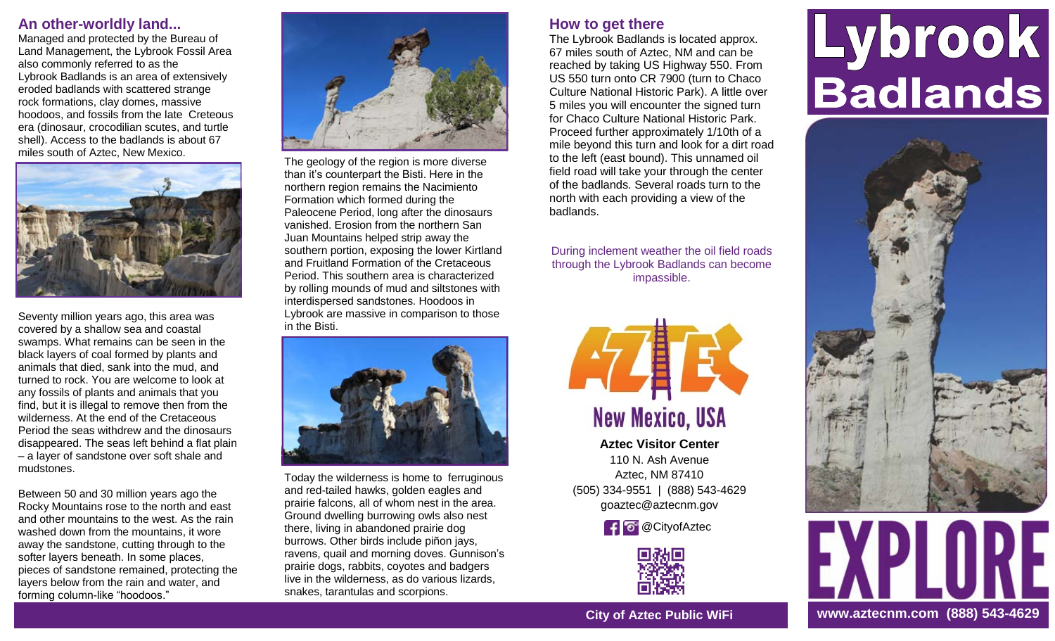# **An other-worldly land...**

Managed and protected by the Bureau of Land Management, the Lybrook Fossil Area also commonly referred to as the Lybrook Badlands is an area of extensively eroded badlands with scattered strange rock formations, clay domes, massive hoodoos, and fossils from the late Creteous era (dinosaur, crocodilian scutes, and turtle shell). Access to the badlands is about 67 miles south of Aztec, New Mexico.



Seventy million years ago, this area was covered by a shallow sea and coastal swamps. What remains can be seen in the black layers of coal formed by plants and animals that died, sank into the mud, and turned to rock. You are welcome to look at any fossils of plants and animals that you find, but it is illegal to remove then from the wilderness. At the end of the Cretaceous Period the seas withdrew and the dinosaurs disappeared. The seas left behind a flat plain – a layer of sandstone over soft shale and mudstones.

Between 50 and 30 million years ago the Rocky Mountains rose to the north and east and other mountains to the west. As the rain washed down from the mountains, it wore away the sandstone, cutting through to the softer layers beneath. In some places, pieces of sandstone remained, protecting the layers below from the rain and water, and forming column-like "hoodoos."



The geology of the region is more diverse than it's counterpart the Bisti. Here in the northern region remains the Nacimiento Formation which formed during the Paleocene Period, long after the dinosaurs vanished. Erosion from the northern San Juan Mountains helped strip away the southern portion, exposing the lower Kirtland and Fruitland Formation of the Cretaceous Period. This southern area is characterized by rolling mounds of mud and siltstones with interdispersed sandstones. Hoodoos in Lybrook are massive in comparison to those in the Bisti.



Today the wilderness is home to ferruginous and red-tailed hawks, golden eagles and prairie falcons, all of whom nest in the area. Ground dwelling burrowing owls also nest there, living in abandoned prairie dog burrows. Other birds include piñon jays, ravens, quail and morning doves. Gunnison's prairie dogs, rabbits, coyotes and badgers live in the wilderness, as do various lizards, snakes, tarantulas and scorpions.

# **How to get there**

The Lybrook Badlands is located approx. 67 miles south of Aztec, NM and can be reached by taking US Highway 550. From US 550 turn onto CR 7900 (turn to Chaco Culture National Historic Park). A little over 5 miles you will encounter the signed turn for Chaco Culture National Historic Park. Proceed further approximately 1/10th of a mile beyond this turn and look for a dirt road to the left (east bound). This unnamed oil field road will take your through the center of the badlands. Several roads turn to the north with each providing a view of the badlands.

During inclement weather the oil field roads through the Lybrook Badlands can become impassible.



**Aztec Visitor Center**  110 N. Ash Avenue Aztec, NM 87410 (505) 334-9551 | (888) 543-4629 goaztec@aztecnm.gov

**f** @CityofAztec



## **City of Aztec Public WiFi**

# Lybrook Badlands